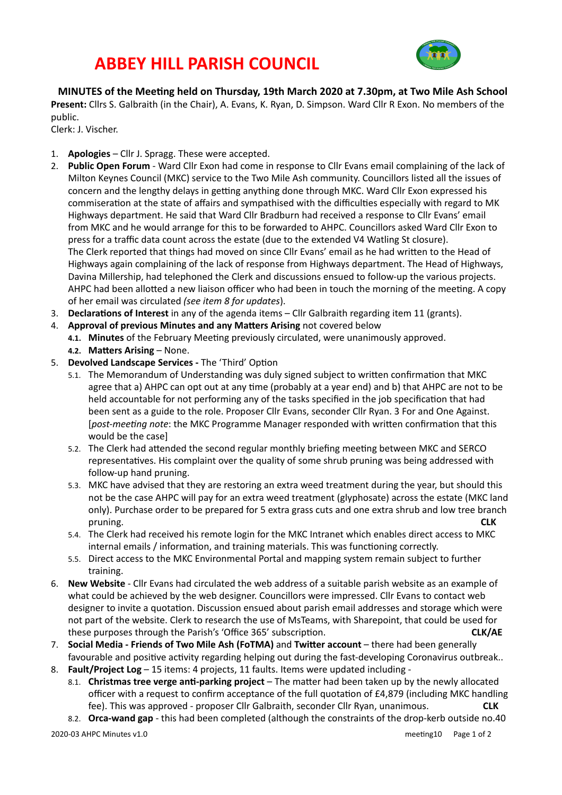## **ABBEY HILL PARISH COUNCIL**



**MINUTES** of the Meeting held on Thursday, 19th March 2020 at 7.30pm, at Two Mile Ash School **Present:** Cllrs S. Galbraith (in the Chair), A. Evans, K. Ryan, D. Simpson. Ward Cllr R Exon. No members of the public. 

Clerk: J. Vischer.

- 1. **Apologies** Cllr J. Spragg. These were accepted.
- 2. **Public Open Forum** Ward Cllr Exon had come in response to Cllr Evans email complaining of the lack of Milton Keynes Council (MKC) service to the Two Mile Ash community. Councillors listed all the issues of concern and the lengthy delays in getting anything done through MKC. Ward Cllr Exon expressed his commiseration at the state of affairs and sympathised with the difficulties especially with regard to MK Highways department. He said that Ward Cllr Bradburn had received a response to Cllr Evans' email from MKC and he would arrange for this to be forwarded to AHPC. Councillors asked Ward Cllr Exon to press for a traffic data count across the estate (due to the extended V4 Watling St closure). The Clerk reported that things had moved on since Cllr Evans' email as he had written to the Head of Highways again complaining of the lack of response from Highways department. The Head of Highways, Davina Millership, had telephoned the Clerk and discussions ensued to follow-up the various projects. AHPC had been allotted a new liaison officer who had been in touch the morning of the meeting. A copy of her email was circulated (see item 8 for updates).
- 3. **Declarations of Interest** in any of the agenda items Cllr Galbraith regarding item 11 (grants).
- 4. **Approval of previous Minutes and any Matters Arising** not covered below
	- 4.1. Minutes of the February Meeting previously circulated, were unanimously approved. **4.2. Matters Arising – None.**
- 5. **Devolved Landscape Services The 'Third' Option** 
	- 5.1. The Memorandum of Understanding was duly signed subject to written confirmation that MKC agree that a) AHPC can opt out at any time (probably at a year end) and b) that AHPC are not to be held accountable for not performing any of the tasks specified in the job specification that had been sent as a guide to the role. Proposer Cllr Evans, seconder Cllr Ryan. 3 For and One Against. [*post-meeting note*: the MKC Programme Manager responded with written confirmation that this would be the case]
	- 5.2. The Clerk had attended the second regular monthly briefing meeting between MKC and SERCO representatives. His complaint over the quality of some shrub pruning was being addressed with follow-up hand pruning.
	- 5.3. MKC have advised that they are restoring an extra weed treatment during the year, but should this not be the case AHPC will pay for an extra weed treatment (glyphosate) across the estate (MKC land only). Purchase order to be prepared for 5 extra grass cuts and one extra shrub and low tree branch pruning. **CLK**
	- 5.4. The Clerk had received his remote login for the MKC Intranet which enables direct access to MKC internal emails / information, and training materials. This was functioning correctly.
	- 5.5. Direct access to the MKC Environmental Portal and mapping system remain subject to further training.
- 6. **New Website** Cllr Evans had circulated the web address of a suitable parish website as an example of what could be achieved by the web designer. Councillors were impressed. Cllr Evans to contact web designer to invite a quotation. Discussion ensued about parish email addresses and storage which were not part of the website. Clerk to research the use of MsTeams, with Sharepoint, that could be used for these purposes through the Parish's 'Office 365' subscription. **The CONNAE**
- 7. **Social Media Friends of Two Mile Ash (FoTMA)** and **Twitter account** there had been generally favourable and positive activity regarding helping out during the fast-developing Coronavirus outbreak..
- 8. **Fault/Project Log** 15 items: 4 projects, 11 faults. Items were updated including -
	- 8.1. **Christmas tree verge anti-parking project** The matter had been taken up by the newly allocated officer with a request to confirm acceptance of the full quotation of  $E4,879$  (including MKC handling fee). This was approved - proposer Cllr Galbraith, seconder Cllr Ryan, unanimous. **CLK**
	- 8.2. **Orca-wand gap** this had been completed (although the constraints of the drop-kerb outside no.40

 $2020-03$  AHPC Minutes v1.0